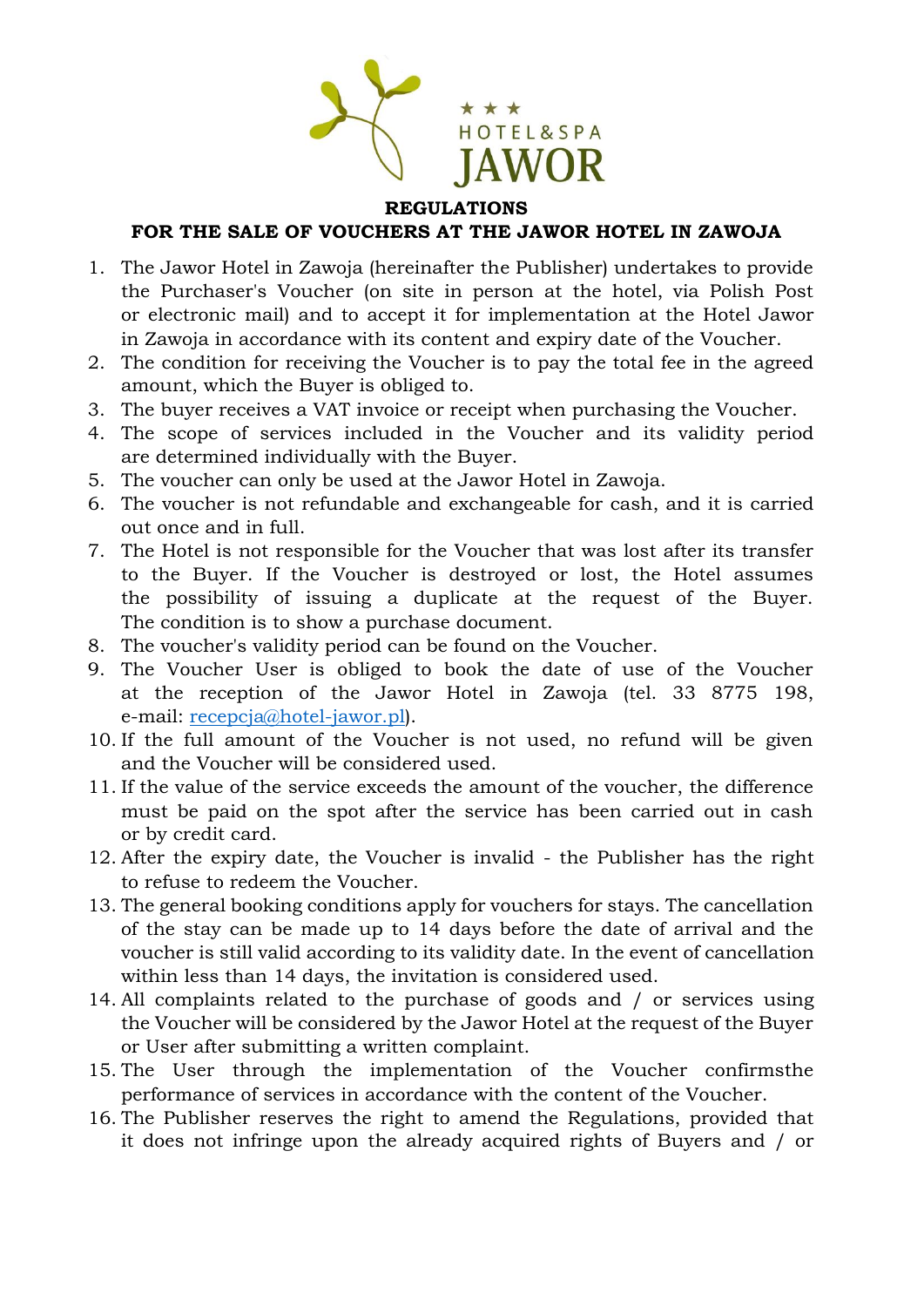

## **REGULATIONS**

## **FOR THE SALE OF VOUCHERS AT THE JAWOR HOTEL IN ZAWOJA**

- 1. The Jawor Hotel in Zawoja (hereinafter the Publisher) undertakes to provide the Purchaser's Voucher (on site in person at the hotel, via Polish Post or electronic mail) and to accept it for implementation at the Hotel Jawor in Zawoja in accordance with its content and expiry date of the Voucher.
- 2. The condition for receiving the Voucher is to pay the total fee in the agreed amount, which the Buyer is obliged to.
- 3. The buyer receives a VAT invoice or receipt when purchasing the Voucher.
- 4. The scope of services included in the Voucher and its validity period are determined individually with the Buyer.
- 5. The voucher can only be used at the Jawor Hotel in Zawoja.
- 6. The voucher is not refundable and exchangeable for cash, and it is carried out once and in full.
- 7. The Hotel is not responsible for the Voucher that was lost after its transfer to the Buyer. If the Voucher is destroyed or lost, the Hotel assumes the possibility of issuing a duplicate at the request of the Buyer. The condition is to show a purchase document.
- 8. The voucher's validity period can be found on the Voucher.
- 9. The Voucher User is obliged to book the date of use of the Voucher at the reception of the Jawor Hotel in Zawoja (tel. 33 8775 198, e-mail: [recepcja@hotel-jawor.pl\)](mailto:recepcja@hotel-jawor.pl).
- 10. If the full amount of the Voucher is not used, no refund will be given and the Voucher will be considered used.
- 11. If the value of the service exceeds the amount of the voucher, the difference must be paid on the spot after the service has been carried out in cash or by credit card.
- 12. After the expiry date, the Voucher is invalid the Publisher has the right to refuse to redeem the Voucher.
- 13. The general booking conditions apply for vouchers for stays. The cancellation of the stay can be made up to 14 days before the date of arrival and the voucher is still valid according to its validity date. In the event of cancellation within less than 14 days, the invitation is considered used.
- 14. All complaints related to the purchase of goods and / or services using the Voucher will be considered by the Jawor Hotel at the request of the Buyer or User after submitting a written complaint.
- 15. The User through the implementation of the Voucher confirmsthe performance of services in accordance with the content of the Voucher.
- 16. The Publisher reserves the right to amend the Regulations, provided that it does not infringe upon the already acquired rights of Buyers and / or